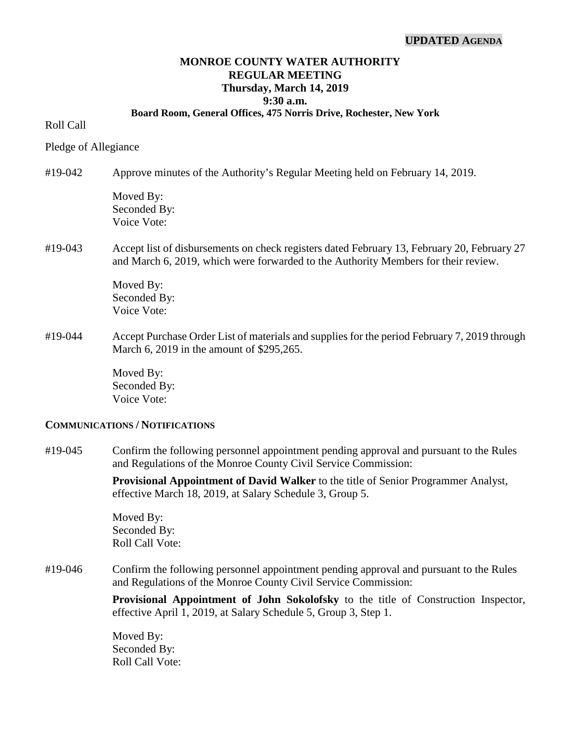## **UPDATED AGENDA**

# **MONROE COUNTY WATER AUTHORITY REGULAR MEETING Thursday, March 14, 2019 9:30 a.m.**

#### **Board Room, General Offices, 475 Norris Drive, Rochester, New York**

## Roll Call

Pledge of Allegiance

#19-042 Approve minutes of the Authority's Regular Meeting held on February 14, 2019. Moved By: Seconded By: Voice Vote: #19-043 Accept list of disbursements on check registers dated February 13, February 20, February 27 and March 6, 2019, which were forwarded to the Authority Members for their review. Moved By:

Seconded By: Voice Vote:

#19-044 Accept Purchase Order List of materials and supplies for the period February 7, 2019 through March 6, 2019 in the amount of \$295,265.

> Moved By: Seconded By: Voice Vote:

#### **COMMUNICATIONS / NOTIFICATIONS**

#19-045 Confirm the following personnel appointment pending approval and pursuant to the Rules and Regulations of the Monroe County Civil Service Commission:

> **Provisional Appointment of David Walker** to the title of Senior Programmer Analyst, effective March 18, 2019, at Salary Schedule 3, Group 5.

Moved By: Seconded By: Roll Call Vote:

#19-046 Confirm the following personnel appointment pending approval and pursuant to the Rules and Regulations of the Monroe County Civil Service Commission:

> **Provisional Appointment of John Sokolofsky** to the title of Construction Inspector, effective April 1, 2019, at Salary Schedule 5, Group 3, Step 1.

Moved By: Seconded By: Roll Call Vote: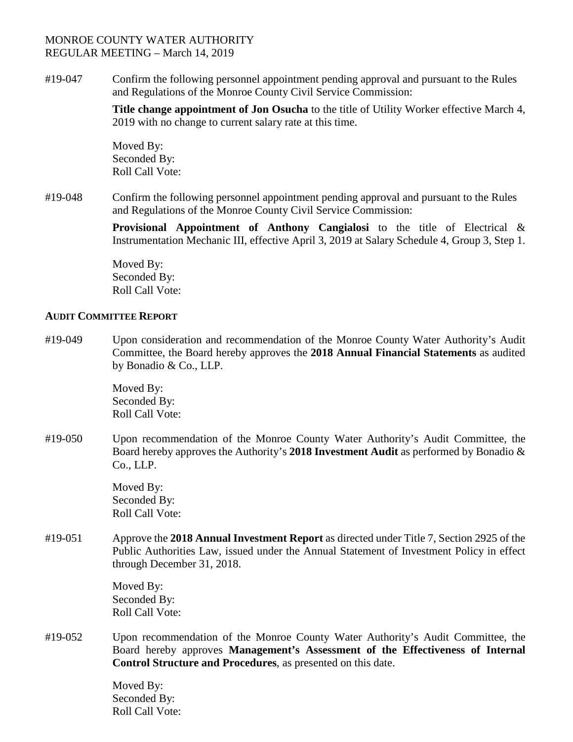#19-047 Confirm the following personnel appointment pending approval and pursuant to the Rules and Regulations of the Monroe County Civil Service Commission:

> **Title change appointment of Jon Osucha** to the title of Utility Worker effective March 4, 2019 with no change to current salary rate at this time.

Moved By: Seconded By: Roll Call Vote:

#19-048 Confirm the following personnel appointment pending approval and pursuant to the Rules and Regulations of the Monroe County Civil Service Commission:

> **Provisional Appointment of Anthony Cangialosi** to the title of Electrical & Instrumentation Mechanic III, effective April 3, 2019 at Salary Schedule 4, Group 3, Step 1.

Moved By: Seconded By: Roll Call Vote:

## **AUDIT COMMITTEE REPORT**

#19-049 Upon consideration and recommendation of the Monroe County Water Authority's Audit Committee, the Board hereby approves the **2018 Annual Financial Statements** as audited by Bonadio & Co., LLP.

> Moved By: Seconded By: Roll Call Vote:

#19-050 Upon recommendation of the Monroe County Water Authority's Audit Committee, the Board hereby approves the Authority's **2018 Investment Audit** as performed by Bonadio & Co., LLP.

> Moved By: Seconded By: Roll Call Vote:

#19-051 Approve the **2018 Annual Investment Report** as directed under Title 7, Section 2925 of the Public Authorities Law, issued under the Annual Statement of Investment Policy in effect through December 31, 2018.

> Moved By: Seconded By: Roll Call Vote:

#19-052 Upon recommendation of the Monroe County Water Authority's Audit Committee, the Board hereby approves **Management's Assessment of the Effectiveness of Internal Control Structure and Procedures**, as presented on this date.

> Moved By: Seconded By: Roll Call Vote: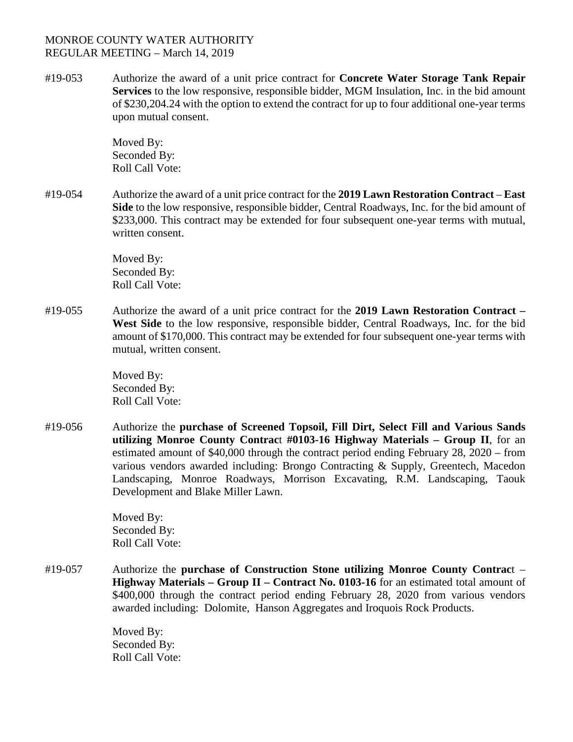#19-053 Authorize the award of a unit price contract for **Concrete Water Storage Tank Repair Services** to the low responsive, responsible bidder, MGM Insulation, Inc. in the bid amount of \$230,204.24 with the option to extend the contract for up to four additional one-year terms upon mutual consent.

> Moved By: Seconded By: Roll Call Vote:

#19-054 Authorize the award of a unit price contract for the **2019 Lawn Restoration Contract** – **East Side** to the low responsive, responsible bidder, Central Roadways, Inc. for the bid amount of \$233,000. This contract may be extended for four subsequent one-year terms with mutual, written consent.

> Moved By: Seconded By: Roll Call Vote:

#19-055 Authorize the award of a unit price contract for the **2019 Lawn Restoration Contract – West Side** to the low responsive, responsible bidder, Central Roadways, Inc. for the bid amount of \$170,000. This contract may be extended for four subsequent one-year terms with mutual, written consent.

> Moved By: Seconded By: Roll Call Vote:

#19-056 Authorize the **purchase of Screened Topsoil, Fill Dirt, Select Fill and Various Sands utilizing Monroe County Contrac**t **#0103-16 Highway Materials – Group II**, for an estimated amount of \$40,000 through the contract period ending February 28, 2020 – from various vendors awarded including: Brongo Contracting & Supply, Greentech, Macedon Landscaping, Monroe Roadways, Morrison Excavating, R.M. Landscaping, Taouk Development and Blake Miller Lawn.

> Moved By: Seconded By: Roll Call Vote:

#19-057 Authorize the **purchase of Construction Stone utilizing Monroe County Contrac**t – **Highway Materials – Group II – Contract No. 0103-16** for an estimated total amount of \$400,000 through the contract period ending February 28, 2020 from various vendors awarded including: Dolomite, Hanson Aggregates and Iroquois Rock Products.

> Moved By: Seconded By: Roll Call Vote: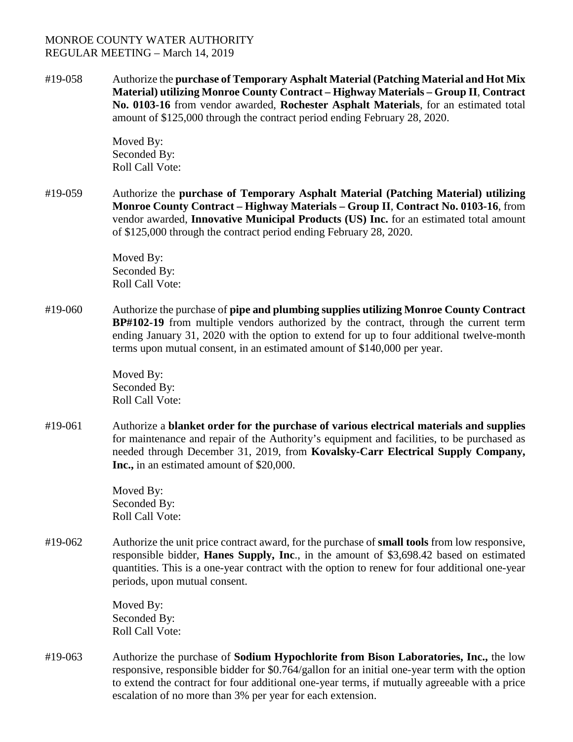#19-058 Authorize the **purchase of Temporary Asphalt Material (Patching Material and Hot Mix Material) utilizing Monroe County Contract – Highway Materials – Group II**, **Contract No. 0103-16** from vendor awarded, **Rochester Asphalt Materials**, for an estimated total amount of \$125,000 through the contract period ending February 28, 2020.

> Moved By: Seconded By: Roll Call Vote:

#19-059 Authorize the **purchase of Temporary Asphalt Material (Patching Material) utilizing Monroe County Contract – Highway Materials – Group II**, **Contract No. 0103-16**, from vendor awarded, **Innovative Municipal Products (US) Inc.** for an estimated total amount of \$125,000 through the contract period ending February 28, 2020.

> Moved By: Seconded By: Roll Call Vote:

#19-060 Authorize the purchase of **pipe and plumbing supplies utilizing Monroe County Contract BP#102-19** from multiple vendors authorized by the contract, through the current term ending January 31, 2020 with the option to extend for up to four additional twelve-month terms upon mutual consent, in an estimated amount of \$140,000 per year.

> Moved By: Seconded By: Roll Call Vote:

#19-061 Authorize a **blanket order for the purchase of various electrical materials and supplies** for maintenance and repair of the Authority's equipment and facilities, to be purchased as needed through December 31, 2019, from **Kovalsky-Carr Electrical Supply Company, Inc.,** in an estimated amount of \$20,000.

> Moved By: Seconded By: Roll Call Vote:

#19-062 Authorize the unit price contract award, for the purchase of **small tools** from low responsive, responsible bidder, **Hanes Supply, Inc**., in the amount of \$3,698.42 based on estimated quantities. This is a one-year contract with the option to renew for four additional one-year periods, upon mutual consent.

> Moved By: Seconded By: Roll Call Vote:

#19-063 Authorize the purchase of **Sodium Hypochlorite from Bison Laboratories, Inc.,** the low responsive, responsible bidder for \$0.764/gallon for an initial one-year term with the option to extend the contract for four additional one-year terms, if mutually agreeable with a price escalation of no more than 3% per year for each extension.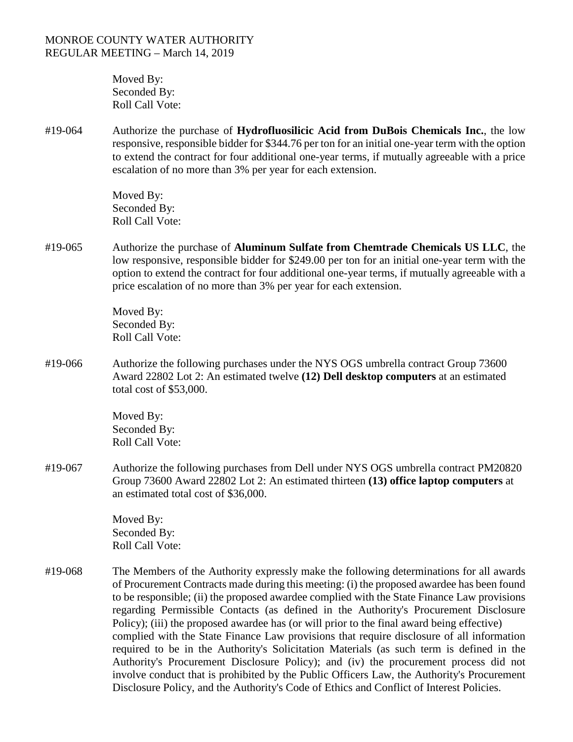Moved By: Seconded By: Roll Call Vote:

#19-064 Authorize the purchase of **Hydrofluosilicic Acid from DuBois Chemicals Inc.**, the low responsive, responsible bidder for \$344.76 per ton for an initial one-year term with the option to extend the contract for four additional one-year terms, if mutually agreeable with a price escalation of no more than 3% per year for each extension.

> Moved By: Seconded By: Roll Call Vote:

#19-065 Authorize the purchase of **Aluminum Sulfate from Chemtrade Chemicals US LLC**, the low responsive, responsible bidder for \$249.00 per ton for an initial one-year term with the option to extend the contract for four additional one-year terms, if mutually agreeable with a price escalation of no more than 3% per year for each extension.

> Moved By: Seconded By: Roll Call Vote:

#19-066 Authorize the following purchases under the NYS OGS umbrella contract Group 73600 Award 22802 Lot 2: An estimated twelve **(12) Dell desktop computers** at an estimated total cost of \$53,000.

> Moved By: Seconded By: Roll Call Vote:

#19-067 Authorize the following purchases from Dell under NYS OGS umbrella contract PM20820 Group 73600 Award 22802 Lot 2: An estimated thirteen **(13) office laptop computers** at an estimated total cost of \$36,000.

> Moved By: Seconded By: Roll Call Vote:

#19-068 The Members of the Authority expressly make the following determinations for all awards of Procurement Contracts made during this meeting: (i) the proposed awardee has been found to be responsible; (ii) the proposed awardee complied with the State Finance Law provisions regarding Permissible Contacts (as defined in the Authority's Procurement Disclosure Policy); (iii) the proposed awardee has (or will prior to the final award being effective) complied with the State Finance Law provisions that require disclosure of all information required to be in the Authority's Solicitation Materials (as such term is defined in the Authority's Procurement Disclosure Policy); and (iv) the procurement process did not involve conduct that is prohibited by the Public Officers Law, the Authority's Procurement Disclosure Policy, and the Authority's Code of Ethics and Conflict of Interest Policies.